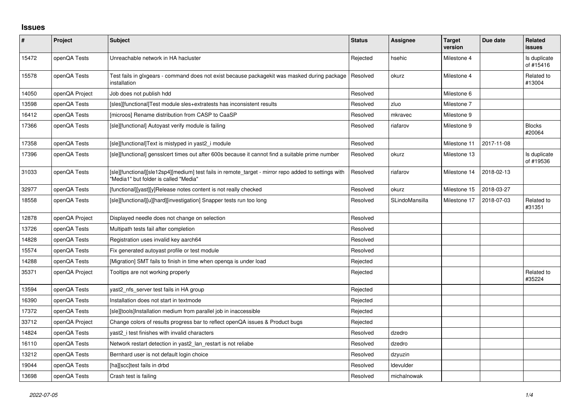## **Issues**

| $\pmb{\#}$ | Project        | <b>Subject</b>                                                                                                                                | <b>Status</b> | Assignee       | <b>Target</b><br>version | Due date   | Related<br><b>issues</b>  |
|------------|----------------|-----------------------------------------------------------------------------------------------------------------------------------------------|---------------|----------------|--------------------------|------------|---------------------------|
| 15472      | openQA Tests   | Unreachable network in HA hacluster                                                                                                           | Rejected      | hsehic         | Milestone 4              |            | Is duplicate<br>of #15416 |
| 15578      | openQA Tests   | Test fails in glxgears - command does not exist because packagekit was masked during package<br>installation                                  | Resolved      | okurz          | Milestone 4              |            | Related to<br>#13004      |
| 14050      | openQA Project | Job does not publish hdd                                                                                                                      | Resolved      |                | Milestone 6              |            |                           |
| 13598      | openQA Tests   | [sles][functional]Test module sles+extratests has inconsistent results                                                                        | Resolved      | zluo           | Milestone 7              |            |                           |
| 16412      | openQA Tests   | [microos] Rename distribution from CASP to CaaSP                                                                                              | Resolved      | mkravec        | Milestone 9              |            |                           |
| 17366      | openQA Tests   | [sle][functional] Autoyast verify module is failing                                                                                           | Resolved      | riafarov       | Milestone 9              |            | <b>Blocks</b><br>#20064   |
| 17358      | openQA Tests   | [sle][functional]Text is mistyped in yast2 i module                                                                                           | Resolved      |                | Milestone 11             | 2017-11-08 |                           |
| 17396      | openQA Tests   | [sle][functional] gensslcert times out after 600s because it cannot find a suitable prime number                                              | Resolved      | okurz          | Milestone 13             |            | Is duplicate<br>of #19536 |
| 31033      | openQA Tests   | [sle][functional][sle12sp4][medium] test fails in remote_target - mirror repo added to settings with<br>"Media1" but folder is called "Media" | Resolved      | riafarov       | Milestone 14             | 2018-02-13 |                           |
| 32977      | openQA Tests   | [functional][yast][y]Release notes content is not really checked                                                                              | Resolved      | okurz          | Milestone 15             | 2018-03-27 |                           |
| 18558      | openQA Tests   | [sle][functional][u][hard][investigation] Snapper tests run too long                                                                          | Resolved      | SLindoMansilla | Milestone 17             | 2018-07-03 | Related to<br>#31351      |
| 12878      | openQA Project | Displayed needle does not change on selection                                                                                                 | Resolved      |                |                          |            |                           |
| 13726      | openQA Tests   | Multipath tests fail after completion                                                                                                         | Resolved      |                |                          |            |                           |
| 14828      | openQA Tests   | Registration uses invalid key aarch64                                                                                                         | Resolved      |                |                          |            |                           |
| 15574      | openQA Tests   | Fix generated autoyast profile or test module                                                                                                 | Resolved      |                |                          |            |                           |
| 14288      | openQA Tests   | [Migration] SMT fails to finish in time when openga is under load                                                                             | Rejected      |                |                          |            |                           |
| 35371      | openQA Project | Tooltips are not working properly                                                                                                             | Rejected      |                |                          |            | Related to<br>#35224      |
| 13594      | openQA Tests   | yast2_nfs_server test fails in HA group                                                                                                       | Rejected      |                |                          |            |                           |
| 16390      | openQA Tests   | Installation does not start in textmode                                                                                                       | Rejected      |                |                          |            |                           |
| 17372      | openQA Tests   | [sle][tools]Installation medium from parallel job in inaccessible                                                                             | Rejected      |                |                          |            |                           |
| 33712      | openQA Project | Change colors of results progress bar to reflect openQA issues & Product bugs                                                                 | Rejected      |                |                          |            |                           |
| 14824      | openQA Tests   | yast2 i test finishes with invalid characters                                                                                                 | Resolved      | dzedro         |                          |            |                           |
| 16110      | openQA Tests   | Network restart detection in yast2 lan restart is not reliabe                                                                                 | Resolved      | dzedro         |                          |            |                           |
| 13212      | openQA Tests   | Bernhard user is not default login choice                                                                                                     | Resolved      | dzyuzin        |                          |            |                           |
| 19044      | openQA Tests   | [ha][scc]test fails in drbd                                                                                                                   | Resolved      | Idevulder      |                          |            |                           |
| 13698      | openQA Tests   | Crash test is failing                                                                                                                         | Resolved      | michalnowak    |                          |            |                           |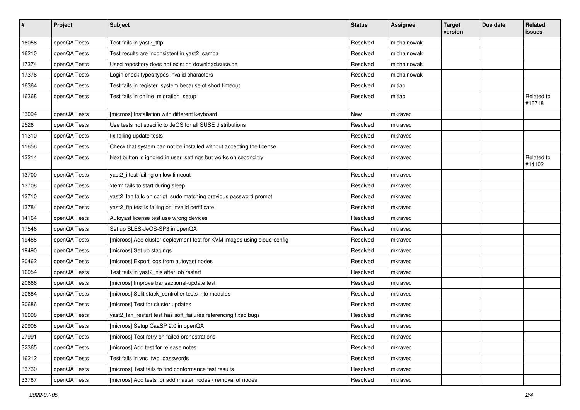| $\sharp$ | Project      | <b>Subject</b>                                                          | <b>Status</b> | <b>Assignee</b> | <b>Target</b><br>version | Due date | Related<br>issues    |
|----------|--------------|-------------------------------------------------------------------------|---------------|-----------------|--------------------------|----------|----------------------|
| 16056    | openQA Tests | Test fails in yast2_tftp                                                | Resolved      | michalnowak     |                          |          |                      |
| 16210    | openQA Tests | Test results are inconsistent in yast2 samba                            | Resolved      | michalnowak     |                          |          |                      |
| 17374    | openQA Tests | Used repository does not exist on download.suse.de                      | Resolved      | michalnowak     |                          |          |                      |
| 17376    | openQA Tests | Login check types types invalid characters                              | Resolved      | michalnowak     |                          |          |                      |
| 16364    | openQA Tests | Test fails in register_system because of short timeout                  | Resolved      | mitiao          |                          |          |                      |
| 16368    | openQA Tests | Test fails in online_migration_setup                                    | Resolved      | mitiao          |                          |          | Related to<br>#16718 |
| 33094    | openQA Tests | [microos] Installation with different keyboard                          | New           | mkravec         |                          |          |                      |
| 9526     | openQA Tests | Use tests not specific to JeOS for all SUSE distributions               | Resolved      | mkravec         |                          |          |                      |
| 11310    | openQA Tests | fix failing update tests                                                | Resolved      | mkravec         |                          |          |                      |
| 11656    | openQA Tests | Check that system can not be installed without accepting the license    | Resolved      | mkravec         |                          |          |                      |
| 13214    | openQA Tests | Next button is ignored in user_settings but works on second try         | Resolved      | mkravec         |                          |          | Related to<br>#14102 |
| 13700    | openQA Tests | yast2_i test failing on low timeout                                     | Resolved      | mkravec         |                          |          |                      |
| 13708    | openQA Tests | xterm fails to start during sleep                                       | Resolved      | mkravec         |                          |          |                      |
| 13710    | openQA Tests | yast2_lan fails on script_sudo matching previous password prompt        | Resolved      | mkravec         |                          |          |                      |
| 13784    | openQA Tests | yast2_ftp test is failing on invalid certificate                        | Resolved      | mkravec         |                          |          |                      |
| 14164    | openQA Tests | Autoyast license test use wrong devices                                 | Resolved      | mkravec         |                          |          |                      |
| 17546    | openQA Tests | Set up SLES-JeOS-SP3 in openQA                                          | Resolved      | mkravec         |                          |          |                      |
| 19488    | openQA Tests | [microos] Add cluster deployment test for KVM images using cloud-config | Resolved      | mkravec         |                          |          |                      |
| 19490    | openQA Tests | [microos] Set up stagings                                               | Resolved      | mkravec         |                          |          |                      |
| 20462    | openQA Tests | [microos] Export logs from autoyast nodes                               | Resolved      | mkravec         |                          |          |                      |
| 16054    | openQA Tests | Test fails in yast2_nis after job restart                               | Resolved      | mkravec         |                          |          |                      |
| 20666    | openQA Tests | [microos] Improve transactional-update test                             | Resolved      | mkravec         |                          |          |                      |
| 20684    | openQA Tests | [microos] Split stack_controller tests into modules                     | Resolved      | mkravec         |                          |          |                      |
| 20686    | openQA Tests | [microos] Test for cluster updates                                      | Resolved      | mkravec         |                          |          |                      |
| 16098    | openQA Tests | yast2_lan_restart test has soft_failures referencing fixed bugs         | Resolved      | mkravec         |                          |          |                      |
| 20908    | openQA Tests | [microos] Setup CaaSP 2.0 in openQA                                     | Resolved      | mkravec         |                          |          |                      |
| 27991    | openQA Tests | [microos] Test retry on failed orchestrations                           | Resolved      | mkravec         |                          |          |                      |
| 32365    | openQA Tests | [microos] Add test for release notes                                    | Resolved      | mkravec         |                          |          |                      |
| 16212    | openQA Tests | Test fails in vnc_two_passwords                                         | Resolved      | mkravec         |                          |          |                      |
| 33730    | openQA Tests | [microos] Test fails to find conformance test results                   | Resolved      | mkravec         |                          |          |                      |
| 33787    | openQA Tests | [microos] Add tests for add master nodes / removal of nodes             | Resolved      | mkravec         |                          |          |                      |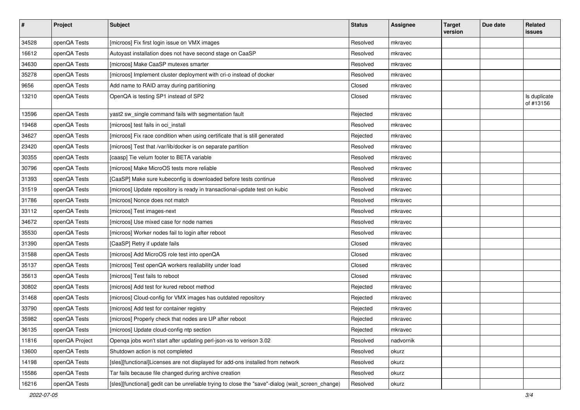| $\vert$ # | Project        | <b>Subject</b>                                                                                    | <b>Status</b> | <b>Assignee</b> | <b>Target</b><br>version | Due date | Related<br>issues         |
|-----------|----------------|---------------------------------------------------------------------------------------------------|---------------|-----------------|--------------------------|----------|---------------------------|
| 34528     | openQA Tests   | [microos] Fix first login issue on VMX images                                                     | Resolved      | mkravec         |                          |          |                           |
| 16612     | openQA Tests   | Autoyast installation does not have second stage on CaaSP                                         | Resolved      | mkravec         |                          |          |                           |
| 34630     | openQA Tests   | [microos] Make CaaSP mutexes smarter                                                              | Resolved      | mkravec         |                          |          |                           |
| 35278     | openQA Tests   | [microos] Implement cluster deployment with cri-o instead of docker                               | Resolved      | mkravec         |                          |          |                           |
| 9656      | openQA Tests   | Add name to RAID array during partitioning                                                        | Closed        | mkravec         |                          |          |                           |
| 13210     | openQA Tests   | OpenQA is testing SP1 instead of SP2                                                              | Closed        | mkravec         |                          |          | Is duplicate<br>of #13156 |
| 13596     | openQA Tests   | yast2 sw_single command fails with segmentation fault                                             | Rejected      | mkravec         |                          |          |                           |
| 19468     | openQA Tests   | [microos] test fails in oci_install                                                               | Resolved      | mkravec         |                          |          |                           |
| 34627     | openQA Tests   | [microos] Fix race condition when using certificate that is still generated                       | Rejected      | mkravec         |                          |          |                           |
| 23420     | openQA Tests   | [microos] Test that /var/lib/docker is on separate partition                                      | Resolved      | mkravec         |                          |          |                           |
| 30355     | openQA Tests   | [caasp] Tie velum footer to BETA variable                                                         | Resolved      | mkravec         |                          |          |                           |
| 30796     | openQA Tests   | [microos] Make MicroOS tests more reliable                                                        | Resolved      | mkravec         |                          |          |                           |
| 31393     | openQA Tests   | [CaaSP] Make sure kubeconfig is downloaded before tests continue                                  | Resolved      | mkravec         |                          |          |                           |
| 31519     | openQA Tests   | [microos] Update repository is ready in transactional-update test on kubic                        | Resolved      | mkravec         |                          |          |                           |
| 31786     | openQA Tests   | [microos] Nonce does not match                                                                    | Resolved      | mkravec         |                          |          |                           |
| 33112     | openQA Tests   | [microos] Test images-next                                                                        | Resolved      | mkravec         |                          |          |                           |
| 34672     | openQA Tests   | [microos] Use mixed case for node names                                                           | Resolved      | mkravec         |                          |          |                           |
| 35530     | openQA Tests   | [microos] Worker nodes fail to login after reboot                                                 | Resolved      | mkravec         |                          |          |                           |
| 31390     | openQA Tests   | [CaaSP] Retry if update fails                                                                     | Closed        | mkravec         |                          |          |                           |
| 31588     | openQA Tests   | [microos] Add MicroOS role test into openQA                                                       | Closed        | mkravec         |                          |          |                           |
| 35137     | openQA Tests   | [microos] Test openQA workers realiability under load                                             | Closed        | mkravec         |                          |          |                           |
| 35613     | openQA Tests   | [microos] Test fails to reboot                                                                    | Closed        | mkravec         |                          |          |                           |
| 30802     | openQA Tests   | [microos] Add test for kured reboot method                                                        | Rejected      | mkravec         |                          |          |                           |
| 31468     | openQA Tests   | [microos] Cloud-config for VMX images has outdated repository                                     | Rejected      | mkravec         |                          |          |                           |
| 33790     | openQA Tests   | [microos] Add test for container registry                                                         | Rejected      | mkravec         |                          |          |                           |
| 35982     | openQA Tests   | [microos] Properly check that nodes are UP after reboot                                           | Rejected      | mkravec         |                          |          |                           |
| 36135     | openQA Tests   | [microos] Update cloud-config ntp section                                                         | Rejected      | mkravec         |                          |          |                           |
| 11816     | openQA Project | Openqa jobs won't start after updating perl-json-xs to verison 3.02                               | Resolved      | nadvornik       |                          |          |                           |
| 13600     | openQA Tests   | Shutdown action is not completed                                                                  | Resolved      | okurz           |                          |          |                           |
| 14198     | openQA Tests   | [sles][functional]Licenses are not displayed for add-ons installed from network                   | Resolved      | okurz           |                          |          |                           |
| 15586     | openQA Tests   | Tar fails because file changed during archive creation                                            | Resolved      | okurz           |                          |          |                           |
| 16216     | openQA Tests   | [sles][functional] gedit can be unreliable trying to close the "save"-dialog (wait_screen_change) | Resolved      | okurz           |                          |          |                           |